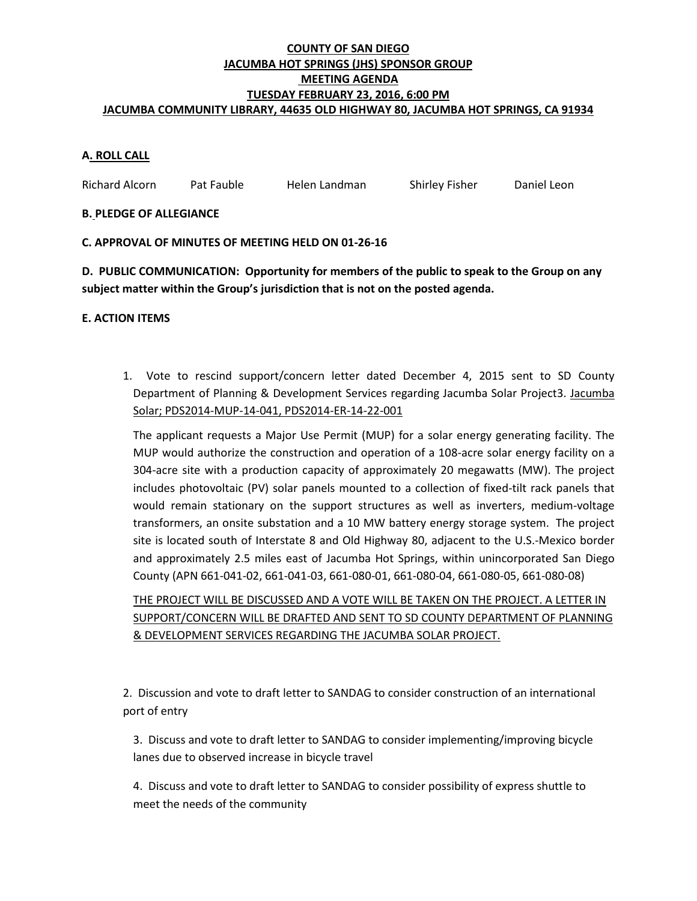## **COUNTY OF SAN DIEGO JACUMBA HOT SPRINGS (JHS) SPONSOR GROUP MEETING AGENDA TUESDAY FEBRUARY 23, 2016, 6:00 PM JACUMBA COMMUNITY LIBRARY, 44635 OLD HIGHWAY 80, JACUMBA HOT SPRINGS, CA 91934**

# **A. ROLL CALL**

Richard Alcorn Pat Fauble Helen Landman Shirley Fisher Daniel Leon

### **B. PLEDGE OF ALLEGIANCE**

### **C. APPROVAL OF MINUTES OF MEETING HELD ON 01-26-16**

**D. PUBLIC COMMUNICATION: Opportunity for members of the public to speak to the Group on any subject matter within the Group's jurisdiction that is not on the posted agenda.**

### **E. ACTION ITEMS**

1. Vote to rescind support/concern letter dated December 4, 2015 sent to SD County Department of Planning & Development Services regarding Jacumba Solar Project3. Jacumba Solar; PDS2014-MUP-14-041, PDS2014-ER-14-22-001

The applicant requests a Major Use Permit (MUP) for a solar energy generating facility. The MUP would authorize the construction and operation of a 108-acre solar energy facility on a 304-acre site with a production capacity of approximately 20 megawatts (MW). The project includes photovoltaic (PV) solar panels mounted to a collection of fixed-tilt rack panels that would remain stationary on the support structures as well as inverters, medium-voltage transformers, an onsite substation and a 10 MW battery energy storage system. The project site is located south of Interstate 8 and Old Highway 80, adjacent to the U.S.-Mexico border and approximately 2.5 miles east of Jacumba Hot Springs, within unincorporated San Diego County (APN 661-041-02, 661-041-03, 661-080-01, 661-080-04, 661-080-05, 661-080-08)

THE PROJECT WILL BE DISCUSSED AND A VOTE WILL BE TAKEN ON THE PROJECT. A LETTER IN SUPPORT/CONCERN WILL BE DRAFTED AND SENT TO SD COUNTY DEPARTMENT OF PLANNING & DEVELOPMENT SERVICES REGARDING THE JACUMBA SOLAR PROJECT.

2. Discussion and vote to draft letter to SANDAG to consider construction of an international port of entry

3. Discuss and vote to draft letter to SANDAG to consider implementing/improving bicycle lanes due to observed increase in bicycle travel

4. Discuss and vote to draft letter to SANDAG to consider possibility of express shuttle to meet the needs of the community